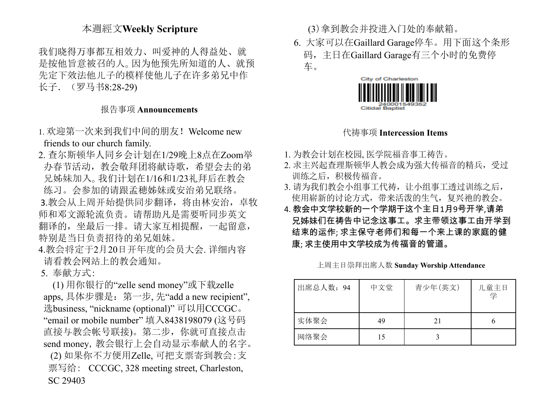## 本週經文**Weekly Scripture**

我们晓得万事都互相效力、叫爱神的人得益处、就 是按他旨意被召的人。因为他预先所知道的人、就预 先定下效法他儿子的模样使他儿子在许多弟兄中作 长子.(罗马书8:28-29)

## 报告事项 **Announcements**

- 1. 欢迎第一次来到我们中间的朋友!Welcome new friends to our church family.
- 2. 查尔斯顿华人同乡会计划在1/29晚上8点在Zoom举 办春节活动,教会敬拜团将献诗歌,希望会去的弟 兄姊妹加入。我们计划在1/16和1/23礼拜后在教会 练习。会参加的请跟孟穂姊妹或安治弟兄联络。 3.教会从上周开始提供同步翻译, 将由林安治, 卓牧 师和邓文源轮流负责。请帮助凡是需要听同步英文 翻译的,坐最后一排。请大家互相提醒,一起留意, 特别是当日负责招待的弟兄姐妹。
- 4.教会将定于2月20日开年度的会员大会. 详细内容 请看教会网站上的教会通知。
- 5. 奉献方式:

(1) 用你银行的"zelle send money"或下载zelle apps, 具体步骤是:第一步, 先"add a new recipient", 选business, "nickname (optional)" 可以用CCCGC。 "email or mobile number" 填入8438198079 (这号码 直接与教会帐号联接)。第二步,你就可直接点击 send money, 教会银行上会自动显示奉献人的名字。 (2) 如果你不方便用Zelle, 可把支票寄到教会:支 票写给: CCCGC, 328 meeting street, Charleston, SC 29403

(3)拿到教会并投进入门处的奉献箱。

6. 大家可以在Gaillard Garage停车。用下面这个条形 码,主日在Gaillard Garage有三个小时的免费停 车。



### 代祷事项 **Intercession Items**

- 1. 为教会计划在校园, 医学院福音事工祷告。
- 2. 求主兴起查理斯顿华人教会成为强大传福音的精兵,受过 训练之后,积极传福音。
- 3. 请为我们教会小组事工代祷,让小组事工透过训练之后, 使用崭新的讨论方式,带来活泼的生气,复兴祂的教会。
- 4. 教会中文学校新的一个学期于这个主日1月9号开学,请弟 兄姊妹们在祷告中记念这事工。求主带领这事工由开学到 结束的运作; 求主保守老师们和每一个来上课的家庭的健 康; 求主使用中文学校成为传福音的管道。

| 出席总人数: 94 | 中文堂 | 青少年(英文) | 儿童主日<br>学 |
|-----------|-----|---------|-----------|
| 实体聚会      | 49  | 21      |           |
| 网络聚会      | 15  |         |           |

上周主日崇拜出席人数 **Sunday Worship Attendance**